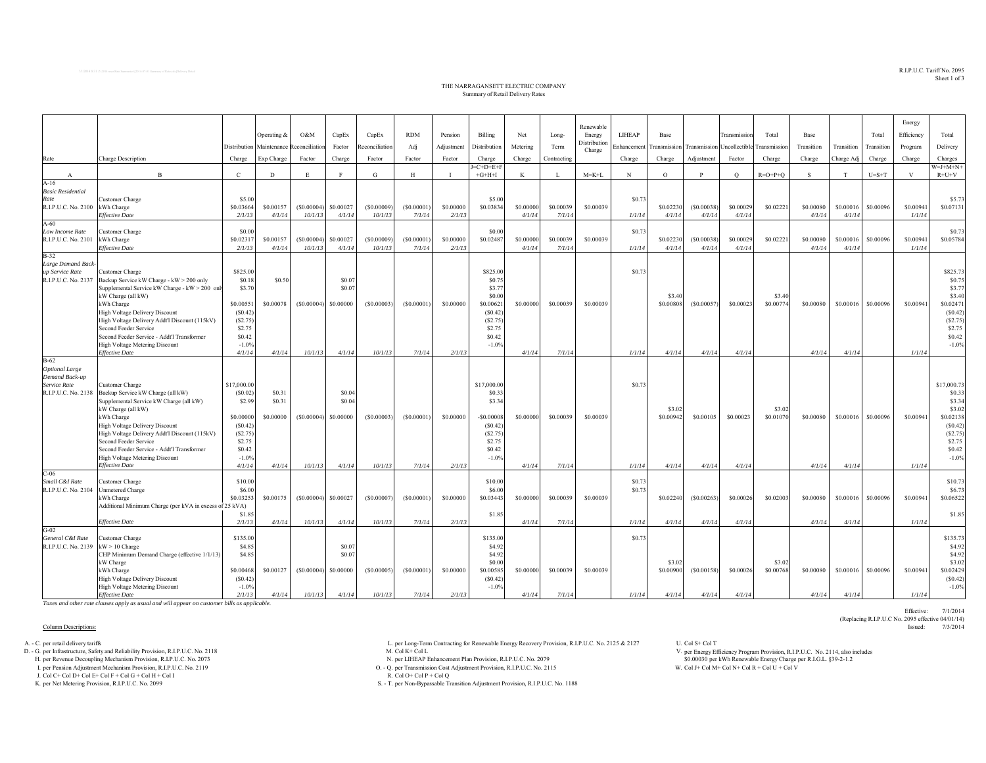$\mathrm{R.I.P. U.C.}$  Tariff  $\mathrm{No.}$   $2095$ Sheet 1 of 3

Effective: 7/1/2014

(Replacing R.I.P.U.C No. 2095 effective 04/01/14)

## THE NARRAGANSETT ELECTRIC COMPANY Summary of Retail Delivery Rates

|                                |                                                                                        |                     |                          |                       |                     |                       |            |                     |                       |                     |             |                     |        |                                                                  |                      |                     |                     |                     |                     |            | Energy              |                       |
|--------------------------------|----------------------------------------------------------------------------------------|---------------------|--------------------------|-----------------------|---------------------|-----------------------|------------|---------------------|-----------------------|---------------------|-------------|---------------------|--------|------------------------------------------------------------------|----------------------|---------------------|---------------------|---------------------|---------------------|------------|---------------------|-----------------------|
|                                |                                                                                        |                     | Operating &              | O&M                   | CapEx               | CapEx                 | <b>RDM</b> | Pension             | Billing               | Net                 | Long-       | Renewable<br>Energy | LIHEAP | Base                                                             |                      | Transmission        | Total               | Base                |                     | Total      | Efficiency          | Total                 |
|                                |                                                                                        |                     | Distribution Maintenance | Reconciliation        | Factor              | Reconciliation        | Adj        | Adjustment          | Distribution          | Metering            | Term        | Distribution        |        | Enhancement Transmission Transmission Uncollectible Transmission |                      |                     |                     | Transition          | Transition          | Transition | Program             | Delivery              |
|                                |                                                                                        |                     |                          |                       |                     |                       |            |                     |                       |                     |             | Charge              |        |                                                                  |                      |                     |                     |                     |                     |            |                     |                       |
| Rate                           | Charge Description                                                                     | Charge              | Exp Charge               | Factor                | Charge              | Factor                | Factor     | Factor              | Charge<br>$I=C+D+E+F$ | Charge              | Contracting |                     | Charge | Charge                                                           | Adjustment           | Factor              | Charge              | Charge              | Charge Adj          | Charge     | Charge              | Charges<br>$W=J+M+N+$ |
| $\mathbf{A}$                   | $\mathbf{R}$                                                                           | $\mathcal{C}$       | D                        | E                     | F                   | G                     | H          | $\mathbf{I}$        | $+G+H+I$              | K                   |             | $M = K + L$         | N      | $\Omega$                                                         | P                    | $\circ$             | $R=O+P+O$           | S.                  | T                   | $U=S+T$    | V                   | $R+U+V$               |
| $A-16$                         |                                                                                        |                     |                          |                       |                     |                       |            |                     |                       |                     |             |                     |        |                                                                  |                      |                     |                     |                     |                     |            |                     |                       |
| <b>Basic Residential</b>       |                                                                                        |                     |                          |                       |                     |                       |            |                     |                       |                     |             |                     |        |                                                                  |                      |                     |                     |                     |                     |            |                     |                       |
| Rate<br>R.I.P.U.C. No. 2100    | Customer Charge<br>kWh Charge                                                          | \$5.00<br>\$0.03664 | \$0.00157                | (S0.00004)            | \$0.00027           | (S0.00009)            | (\$0.00001 | \$0,00000           | \$5.00<br>\$0.03834   | \$0.00000           | \$0.00039   | \$0.00039           | \$0.73 | \$0.02230                                                        | (S0.00038)           | \$0.00029           | \$0.02221           | \$0.00080           | \$0.00016           | \$0.00096  | \$0.00941           | \$5.73<br>\$0.07131   |
|                                | <b>Effective Date</b>                                                                  | 2/1/13              | 4/1/14                   | 10/1/13               | 4/1/14              | 10/1/13               | 7/1/14     | 2/1/13              |                       | 4/1/14              | 7/1/14      |                     | 1/1/14 | 4/1/14                                                           | 4/1/14               | 4/1/14              |                     | 4/1/14              | 4/1/14              |            | 1/1/14              |                       |
| $A-60$                         |                                                                                        |                     |                          |                       |                     |                       |            |                     |                       |                     |             |                     |        |                                                                  |                      |                     |                     |                     |                     |            |                     |                       |
| Low Income Rate                | Customer Charge                                                                        | \$0.00              |                          |                       |                     |                       |            |                     | \$0.00                |                     |             |                     | \$0.73 |                                                                  |                      |                     |                     |                     |                     |            |                     | \$0.73                |
| R.I.P.U.C. No. 2101            | kWh Charge                                                                             | \$0.0231            | \$0.00157<br>4/1/14      | (S0.00004)<br>10/1/13 | \$0.00027<br>4/1/14 | (S0.00009)<br>10/1/13 | (S0.00001) | \$0.00000<br>2/1/13 | \$0.02487             | \$0.00000<br>4/1/14 | \$0.00039   | \$0,00039           | 1/1/14 | \$0.02230<br>4/1/14                                              | (S0.00038)<br>4/1/14 | \$0.00029<br>4/1/14 | \$0.02221           | \$0.00080<br>4/1/14 | \$0.00016<br>4/1/14 | \$0,00096  | \$0.00941<br>1/1/14 | \$0.05784             |
| B-32                           | <b>Effective Date</b>                                                                  | 2/1/13              |                          |                       |                     |                       | 7/1/14     |                     |                       |                     | 7/1/14      |                     |        |                                                                  |                      |                     |                     |                     |                     |            |                     |                       |
| Large Demand Back-             |                                                                                        |                     |                          |                       |                     |                       |            |                     |                       |                     |             |                     |        |                                                                  |                      |                     |                     |                     |                     |            |                     |                       |
| up Service Rate                | Customer Charge                                                                        | \$825.00            |                          |                       |                     |                       |            |                     | \$825.00              |                     |             |                     | \$0.73 |                                                                  |                      |                     |                     |                     |                     |            |                     | \$825.73              |
| R.I.P.U.C. No. 2137            | Backup Service kW Charge - kW > 200 only                                               | \$0.18              | \$0.50                   |                       | \$0.0               |                       |            |                     | \$0.75                |                     |             |                     |        |                                                                  |                      |                     |                     |                     |                     |            |                     | \$0.75                |
|                                | Supplemental Service kW Charge - kW > 200 only<br>kW Charge (all kW)                   | \$3.70              |                          |                       | \$0.0               |                       |            |                     | \$3.77<br>\$0.00      |                     |             |                     |        | \$3.40                                                           |                      |                     | \$3.40              |                     |                     |            |                     | \$3.77<br>\$3.40      |
|                                | kWh Charge                                                                             | \$0.0055            | \$0.00078                | (S0.00004)            | \$0,00000           | (S0.00003)            | (S0.00001) | \$0.00000           | \$0.0062              | \$0.00000           | \$0,00039   | \$0,00039           |        | \$0,00808                                                        | (S0.00057)           | \$0.00023           | \$0,00774           | \$0.00080           | \$0.00016           | \$0,00096  | \$0.00941           | \$0.02471             |
|                                | High Voltage Delivery Discount                                                         | (S0.42)             |                          |                       |                     |                       |            |                     | (S0.42)               |                     |             |                     |        |                                                                  |                      |                     |                     |                     |                     |            |                     | (S0.42)               |
|                                | High Voltage Delivery Addt'l Discount (115kV)                                          | (S2.75)             |                          |                       |                     |                       |            |                     | (S2.75)               |                     |             |                     |        |                                                                  |                      |                     |                     |                     |                     |            |                     | (S2.75)               |
|                                | Second Feeder Service                                                                  | \$2.75              |                          |                       |                     |                       |            |                     | \$2.75                |                     |             |                     |        |                                                                  |                      |                     |                     |                     |                     |            |                     | \$2.75                |
|                                | Second Feeder Service - Addt'l Transformer<br>High Voltage Metering Discount           | \$0.42<br>$-1.0%$   |                          |                       |                     |                       |            |                     | \$0.42<br>$-1.0%$     |                     |             |                     |        |                                                                  |                      |                     |                     |                     |                     |            |                     | \$0.42<br>$-1.0%$     |
|                                | <b>Effective Date</b>                                                                  | 4/1/14              | 4/1/14                   | 10/1/13               | 4/1/14              | 10/1/13               | 7/1/14     | 2/1/13              |                       | 4/1/14              | 7/1/14      |                     | 1/1/14 | 4/1/14                                                           | 4/1/14               | 4/1/14              |                     | 4/1/14              | 4/1/14              |            | 1/1/14              |                       |
| $B-62$                         |                                                                                        |                     |                          |                       |                     |                       |            |                     |                       |                     |             |                     |        |                                                                  |                      |                     |                     |                     |                     |            |                     |                       |
| <b>Optional Large</b>          |                                                                                        |                     |                          |                       |                     |                       |            |                     |                       |                     |             |                     |        |                                                                  |                      |                     |                     |                     |                     |            |                     |                       |
| Demand Back-up<br>Service Rate |                                                                                        | \$17,000.00         |                          |                       |                     |                       |            |                     |                       |                     |             |                     | \$0.73 |                                                                  |                      |                     |                     |                     |                     |            |                     | \$17,000.73           |
| R.I.P.U.C. No. 2138            | Customer Charge<br>Backup Service kW Charge (all kW)                                   | (S0.02)             | \$0.31                   |                       | \$0.0               |                       |            |                     | \$17,000.00<br>\$0.33 |                     |             |                     |        |                                                                  |                      |                     |                     |                     |                     |            |                     | \$0.33                |
|                                | Supplemental Service kW Charge (all kW)                                                | \$2.99              | \$0.31                   |                       | \$0.0               |                       |            |                     | \$3.34                |                     |             |                     |        |                                                                  |                      |                     |                     |                     |                     |            |                     | \$3.34                |
|                                | kW Charge (all kW)                                                                     |                     |                          |                       |                     |                       |            |                     |                       |                     |             |                     |        | \$3.02                                                           |                      |                     | \$3.02              |                     |                     |            |                     | \$3.02                |
|                                | kWh Charge                                                                             | \$0,00000           | \$0.00000                | (S0.00004)            | \$0.00000           | (S0.00003)            | (S0.00001) | \$0,00000           | $-$0.00008$           | \$0.00000           | \$0.00039   | \$0,00039           |        | \$0.00942                                                        | \$0.00105            | \$0,00023           | \$0.01070           | \$0.00080           | \$0.00016           | \$0,00096  | \$0.00941           | \$0.02138             |
|                                | <b>High Voltage Delivery Discount</b><br>High Voltage Delivery Addt'l Discount (115kV) | (S0.42)<br>(S2.75)  |                          |                       |                     |                       |            |                     | (S0.42)<br>(S2.75)    |                     |             |                     |        |                                                                  |                      |                     |                     |                     |                     |            |                     | (S0.42)<br>(S2.75)    |
|                                | Second Feeder Service                                                                  | \$2.75              |                          |                       |                     |                       |            |                     | \$2.75                |                     |             |                     |        |                                                                  |                      |                     |                     |                     |                     |            |                     | \$2.75                |
|                                | Second Feeder Service - Addt'l Transformer                                             | \$0.42              |                          |                       |                     |                       |            |                     | \$0.42                |                     |             |                     |        |                                                                  |                      |                     |                     |                     |                     |            |                     | \$0.42                |
|                                | <b>High Voltage Metering Discount</b>                                                  | $-1.0%$             |                          |                       |                     |                       |            |                     | $-1.0%$               |                     |             |                     |        |                                                                  |                      |                     |                     |                     |                     |            |                     | $-1.0%$               |
|                                | <b>Effective Date</b>                                                                  | 4/1/14              | 4/1/14                   | 10/1/13               | 4/1/14              | 10/1/13               | 7/1/14     | 2/1/13              |                       | 4/1/14              | 7/1/14      |                     | 1/1/14 | 4/1/14                                                           | 4/1/14               | 4/1/14              |                     | 4/1/14              | 4/1/14              |            | 1/1/14              |                       |
| $C-06$<br>Small C&I Rate       | Customer Charge                                                                        | \$10.00             |                          |                       |                     |                       |            |                     | \$10.00               |                     |             |                     | \$0.73 |                                                                  |                      |                     |                     |                     |                     |            |                     | \$10.73               |
| R.I.P.U.C. No. 2104            | Jnmetered Charge                                                                       | \$6.00              |                          |                       |                     |                       |            |                     | \$6.00                |                     |             |                     | \$0.73 |                                                                  |                      |                     |                     |                     |                     |            |                     | \$6.73                |
|                                | kWh Charge                                                                             | \$0.0325            | \$0.00175                | (S0.00004)            | \$0.00027           | (\$0,00007)           | (S0.00001) | \$0,00000           | \$0.03443             | \$0.00000           | \$0.00039   | \$0,00039           |        | \$0.02240                                                        | (S0.00263)           | \$0.00026           | \$0.02003           | \$0,00080           | \$0.00016           | \$0,00096  | \$0,00941           | \$0.06522             |
|                                | Additional Minimum Charge (per kVA in excess of 25 kVA)                                |                     |                          |                       |                     |                       |            |                     |                       |                     |             |                     |        |                                                                  |                      |                     |                     |                     |                     |            |                     |                       |
|                                | <b>Effective Date</b>                                                                  | \$1.85              | 4/1/14                   |                       | 4/1/14              | 10/1/13               |            |                     | \$1.85                | 4/1/14              | 7/1/14      |                     |        | 4/1/14                                                           |                      | 4/1/14              |                     | 4/1/14              |                     |            | 1/1/14              | \$1.85                |
| $G-02$                         |                                                                                        | 2/1/13              |                          | 10/1/13               |                     |                       | 7/1/14     | 2/1/13              |                       |                     |             |                     | 1/1/14 |                                                                  | 4/1/14               |                     |                     |                     | 4/1/14              |            |                     |                       |
| General C&I Rate               | Customer Charge                                                                        | \$135.00            |                          |                       |                     |                       |            |                     | \$135.00              |                     |             |                     | \$0.73 |                                                                  |                      |                     |                     |                     |                     |            |                     | \$135.73              |
| R.I.P.U.C. No. 2139            | $kW > 10$ Charge                                                                       | \$4.85              |                          |                       | \$0.0               |                       |            |                     | \$4.92                |                     |             |                     |        |                                                                  |                      |                     |                     |                     |                     |            |                     | \$4.92                |
|                                | CHP Minimum Demand Charge (effective 1/1/13)                                           | \$4.85              |                          |                       | \$0.0               |                       |            |                     | \$4.92                |                     |             |                     |        |                                                                  |                      |                     |                     |                     |                     |            |                     | \$4.92                |
|                                | kW Charge<br>kWh Charge                                                                | \$0.00468           | \$0.00127                | (S0.00004)            | \$0.00000           | (S0.00005)            | (S0.00001) | \$0,00000           | \$0.00<br>\$0.00585   | \$0,00000           | \$0.00039   | \$0.00039           |        | \$3.02<br>\$0.00900                                              | (S0.00158)           | \$0.00026           | \$3.02<br>\$0.00768 | \$0,00080           | \$0.00016           | \$0,00096  | \$0.00941           | \$3.02<br>\$0.02429   |
|                                | High Voltage Delivery Discount                                                         | (S0.42)             |                          |                       |                     |                       |            |                     | (S0.42)               |                     |             |                     |        |                                                                  |                      |                     |                     |                     |                     |            |                     | (S0.42)               |
|                                | High Voltage Metering Discount                                                         | $-1.0%$             |                          |                       |                     |                       |            |                     | $-1.0%$               |                     |             |                     |        |                                                                  |                      |                     |                     |                     |                     |            |                     | $-1.0%$               |
|                                | <b>Effective Date</b>                                                                  | 2/1/13              | 4/1/14                   | 10/1/13               | 4/1/14              | 10/1/13               | 7/1/14     | 2/1/13              |                       | 4/1/14              | 7/1/14      |                     | 1/1/14 | 4/1/14                                                           | 4/1/14               | 4/1/14              |                     | 4/1/14              | 4/1/14              |            | 1/1/14              |                       |

*Taxes and other rate clauses apply as usual and will appear on customer bills as applicable.*

## Column Descriptions: Issued: 7/3/2014

H. per Revenue Decoupling Mechanism Provision, R.I.P.U.C. No. 2073 N. per LIHEAP Enhancement Plan Provision, R.I.P.U.C. No. 2079

J. Col C+ Col D+ Col E+ Col F + Col G + Col H + Col I

A. - C. per Long-Term Contracting for Renewable Energy Recovery Provision, R.I.P.U.C. No. 2125 & 2127 U. Col S+ Col T<br>D. - G. per Infrastructure, Safety and Reliability Provision, R.I.P.U.C. No. 2118 M. Col K+ Col L. Col K

I. per Pension Adjustment Mechanism Provision, R.I.P.U.C. No. 2119 O. - Q. per Transmission Cost Adjustment Provision, R.I.P.U.C. No. 2115 W. Col I+ Col N+ Col N+ Col N+ Col N+ Col N+ Col U + Col V + Col V + Col V + Col V

K. per Net Metering Provision, R.I.P.U.C. No. 2099 S. - T. per Non-Bypassable Transition Adjustment Provision, R.I.P.U.C. No. 1188

per Energy Efficiency Program Provision, R.I.P.U.C. No. 2114, also includes \$0.00030 per kWh Renewable Energy Charge per R.I.G.L. §39-2-1.2